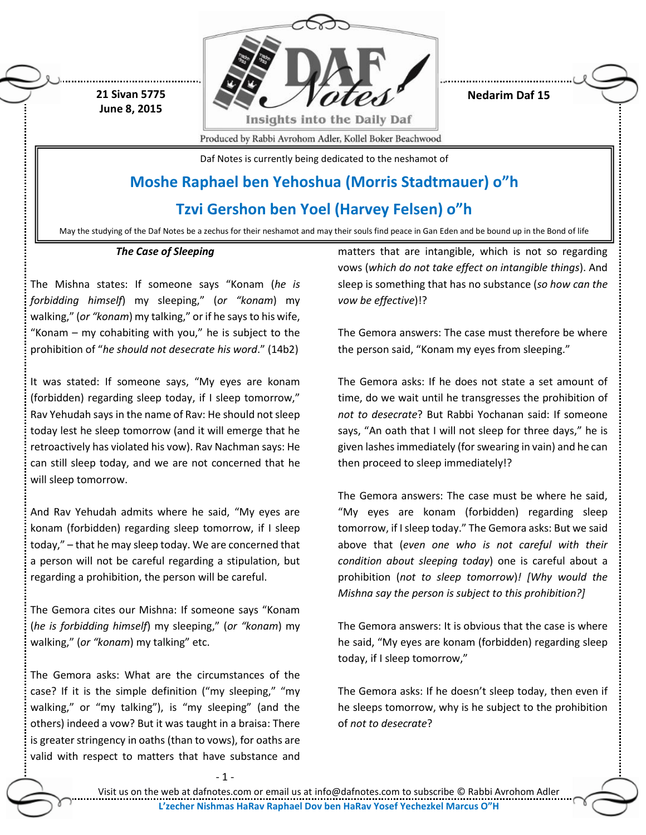

**Nedarim Daf 15**

Produced by Rabbi Avrohom Adler, Kollel Boker Beachwood

Daf Notes is currently being dedicated to the neshamot of

## **Moshe Raphael ben Yehoshua (Morris Stadtmauer) o"h**

**Tzvi Gershon ben Yoel (Harvey Felsen) o"h**

May the studying of the Daf Notes be a zechus for their neshamot and may their souls find peace in Gan Eden and be bound up in the Bond of life

## *The Case of Sleeping*

**21 Sivan 5775 June 8, 2015**

The Mishna states: If someone says "Konam (*he is forbidding himself*) my sleeping," (*or "konam*) my walking," (*or "konam*) my talking," or if he says to his wife, "Konam – my cohabiting with you," he is subject to the prohibition of "*he should not desecrate his word*." (14b2)

It was stated: If someone says, "My eyes are konam (forbidden) regarding sleep today, if I sleep tomorrow," Rav Yehudah says in the name of Rav: He should not sleep today lest he sleep tomorrow (and it will emerge that he retroactively has violated his vow). Rav Nachman says: He can still sleep today, and we are not concerned that he will sleep tomorrow.

And Rav Yehudah admits where he said, "My eyes are konam (forbidden) regarding sleep tomorrow, if I sleep today," – that he may sleep today. We are concerned that a person will not be careful regarding a stipulation, but regarding a prohibition, the person will be careful.

The Gemora cites our Mishna: If someone says "Konam (*he is forbidding himself*) my sleeping," (*or "konam*) my walking," (*or "konam*) my talking" etc.

The Gemora asks: What are the circumstances of the case? If it is the simple definition ("my sleeping," "my walking," or "my talking"), is "my sleeping" (and the others) indeed a vow? But it was taught in a braisa: There is greater stringency in oaths (than to vows), for oaths are valid with respect to matters that have substance and

matters that are intangible, which is not so regarding vows (*which do not take effect on intangible things*). And sleep is something that has no substance (*so how can the vow be effective*)!?

The Gemora answers: The case must therefore be where the person said, "Konam my eyes from sleeping."

The Gemora asks: If he does not state a set amount of time, do we wait until he transgresses the prohibition of *not to desecrate*? But Rabbi Yochanan said: If someone says, "An oath that I will not sleep for three days," he is given lashes immediately (for swearing in vain) and he can then proceed to sleep immediately!?

The Gemora answers: The case must be where he said, "My eyes are konam (forbidden) regarding sleep tomorrow, if I sleep today." The Gemora asks: But we said above that (*even one who is not careful with their condition about sleeping today*) one is careful about a prohibition (*not to sleep tomorrow*)*! [Why would the Mishna say the person is subject to this prohibition?]*

The Gemora answers: It is obvious that the case is where he said, "My eyes are konam (forbidden) regarding sleep today, if I sleep tomorrow,"

The Gemora asks: If he doesn't sleep today, then even if he sleeps tomorrow, why is he subject to the prohibition of *not to desecrate*?

 $-1$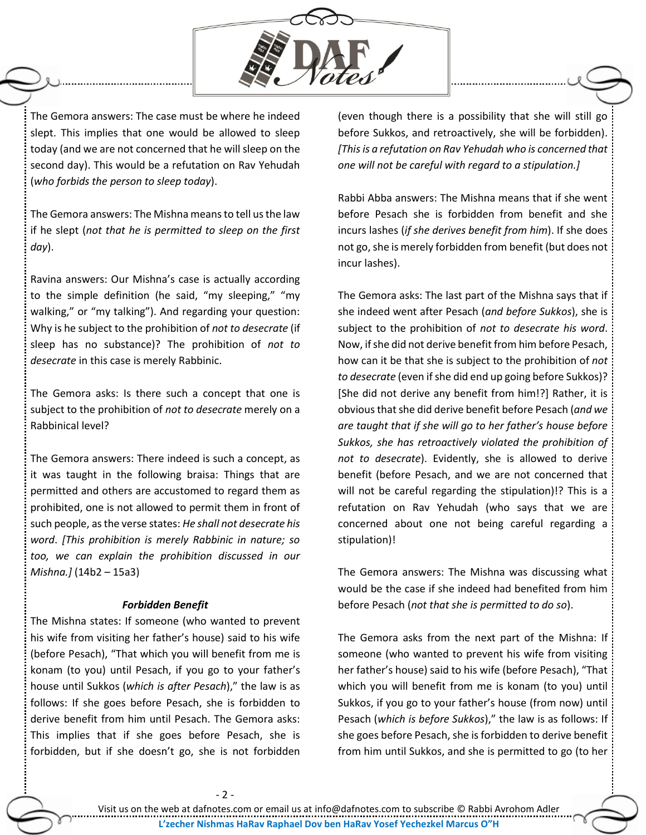

The Gemora answers: The case must be where he indeed slept. This implies that one would be allowed to sleep today (and we are not concerned that he will sleep on the second day). This would be a refutation on Rav Yehudah (*who forbids the person to sleep today*).

The Gemora answers: The Mishna means to tell us the law if he slept (*not that he is permitted to sleep on the first day*).

Ravina answers: Our Mishna's case is actually according to the simple definition (he said, "my sleeping," "my walking," or "my talking"). And regarding your question: Why is he subject to the prohibition of *not to desecrate* (if sleep has no substance)? The prohibition of *not to desecrate* in this case is merely Rabbinic.

The Gemora asks: Is there such a concept that one is subject to the prohibition of *not to desecrate* merely on a Rabbinical level?

The Gemora answers: There indeed is such a concept, as it was taught in the following braisa: Things that are permitted and others are accustomed to regard them as prohibited, one is not allowed to permit them in front of such people, as the verse states: *He shall not desecrate his word*. *[This prohibition is merely Rabbinic in nature; so too, we can explain the prohibition discussed in our Mishna.]* (14b2 – 15a3)

## *Forbidden Benefit*

The Mishna states: If someone (who wanted to prevent his wife from visiting her father's house) said to his wife (before Pesach), "That which you will benefit from me is konam (to you) until Pesach, if you go to your father's house until Sukkos (*which is after Pesach*)," the law is as follows: If she goes before Pesach, she is forbidden to derive benefit from him until Pesach. The Gemora asks: This implies that if she goes before Pesach, she is forbidden, but if she doesn't go, she is not forbidden

(even though there is a possibility that she will still go before Sukkos, and retroactively, she will be forbidden). *[This is a refutation on Rav Yehudah who is concerned that one will not be careful with regard to a stipulation.]* 

Rabbi Abba answers: The Mishna means that if she went before Pesach she is forbidden from benefit and she incurs lashes (*if she derives benefit from him*). If she does not go, she is merely forbidden from benefit (but does not incur lashes).

The Gemora asks: The last part of the Mishna says that if she indeed went after Pesach (*and before Sukkos*), she is subject to the prohibition of *not to desecrate his word*. Now, if she did not derive benefit from him before Pesach, how can it be that she is subject to the prohibition of *not to desecrate* (even if she did end up going before Sukkos)? [She did not derive any benefit from him!?] Rather, it is obviousthat she did derive benefit before Pesach (*and we are taught that if she will go to her father's house before Sukkos, she has retroactively violated the prohibition of not to desecrate*). Evidently, she is allowed to derive benefit (before Pesach, and we are not concerned that will not be careful regarding the stipulation)!? This is a refutation on Rav Yehudah (who says that we are concerned about one not being careful regarding a stipulation)!

The Gemora answers: The Mishna was discussing what would be the case if she indeed had benefited from him before Pesach (*not that she is permitted to do so*).

The Gemora asks from the next part of the Mishna: If someone (who wanted to prevent his wife from visiting her father's house) said to his wife (before Pesach), "That which you will benefit from me is konam (to you) until Sukkos, if you go to your father's house (from now) until Pesach (*which is before Sukkos*)," the law is as follows: If she goes before Pesach, she is forbidden to derive benefit from him until Sukkos, and she is permitted to go (to her